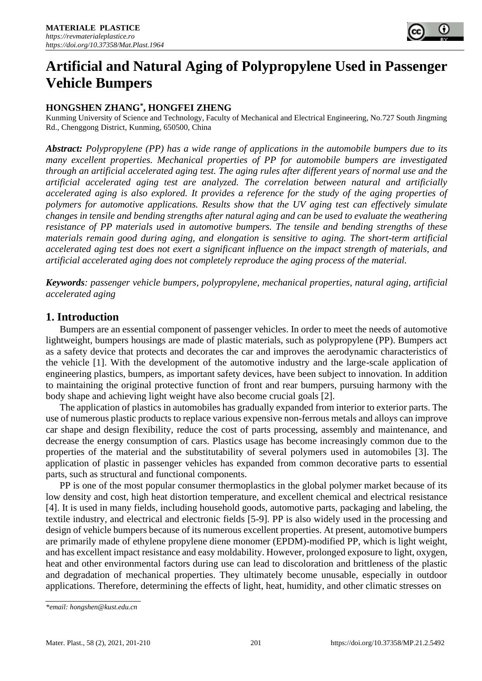

# **Artificial and Natural Aging of Polypropylene Used in Passenger Vehicle Bumpers**

# **HONGSHEN ZHANG\* , HONGFEI ZHENG**

Kunming University of Science and Technology, Faculty of Mechanical and Electrical Engineering, No.727 South Jingming Rd., Chenggong District, Kunming, 650500, China

*Abstract: Polypropylene (PP) has a wide range of applications in the automobile bumpers due to its many excellent properties. Mechanical properties of PP for automobile bumpers are investigated through an artificial accelerated aging test. The aging rules after different years of normal use and the artificial accelerated aging test are analyzed. The correlation between natural and artificially accelerated aging is also explored. It provides a reference for the study of the aging properties of polymers for automotive applications. Results show that the UV aging test can effectively simulate changes in tensile and bending strengths after natural aging and can be used to evaluate the weathering resistance of PP materials used in automotive bumpers. The tensile and bending strengths of these materials remain good during aging, and elongation is sensitive to aging. The short-term artificial accelerated aging test does not exert a significant influence on the impact strength of materials, and artificial accelerated aging does not completely reproduce the aging process of the material.*

*Keywords: passenger vehicle bumpers, polypropylene, mechanical properties, natural aging, artificial accelerated aging*

# **1. Introduction**

Bumpers are an essential component of passenger vehicles. In order to meet the needs of automotive lightweight, bumpers housings are made of plastic materials, such as polypropylene (PP). Bumpers act as a safety device that protects and decorates the car and improves the aerodynamic characteristics of the vehicle [1]. With the development of the automotive industry and the large-scale application of engineering plastics, bumpers, as important safety devices, have been subject to innovation. In addition to maintaining the original protective function of front and rear bumpers, pursuing harmony with the body shape and achieving light weight have also become crucial goals [2].

The application of plastics in automobiles has gradually expanded from interior to exterior parts. The use of numerous plastic products to replace various expensive non-ferrous metals and alloys can improve car shape and design flexibility, reduce the cost of parts processing, assembly and maintenance, and decrease the energy consumption of cars. Plastics usage has become increasingly common due to the properties of the material and the substitutability of several polymers used in automobiles [3]. The application of plastic in passenger vehicles has expanded from common decorative parts to essential parts, such as structural and functional components.

PP is one of the most popular consumer thermoplastics in the global polymer market because of its low density and cost, high heat distortion temperature, and excellent chemical and electrical resistance [4]. It is used in many fields, including household goods, automotive parts, packaging and labeling, the textile industry, and electrical and electronic fields [5-9]. PP is also widely used in the processing and design of vehicle bumpers because of its numerous excellent properties. At present, automotive bumpers are primarily made of ethylene propylene diene monomer (EPDM)-modified PP, which is light weight, and has excellent impact resistance and easy moldability. However, prolonged exposure to light, oxygen, heat and other environmental factors during use can lead to discoloration and brittleness of the plastic and degradation of mechanical properties. They ultimately become unusable, especially in outdoor applications. Therefore, determining the effects of light, heat, humidity, and other climatic stresses on

*<sup>\*</sup>email: hongshen@kust.edu.cn*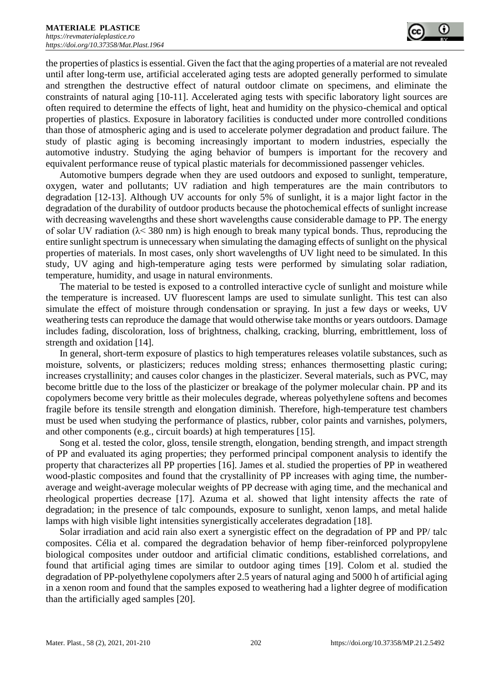the properties of plastics is essential. Given the fact that the aging properties of a material are not revealed until after long-term use, artificial accelerated aging tests are adopted generally performed to simulate and strengthen the destructive effect of natural outdoor climate on specimens, and eliminate the constraints of natural aging [10-11]. Accelerated aging tests with specific laboratory light sources are often required to determine the effects of light, heat and humidity on the physico-chemical and optical properties of plastics. Exposure in laboratory facilities is conducted under more controlled conditions than those of atmospheric aging and is used to accelerate polymer degradation and product failure. The study of plastic aging is becoming increasingly important to modern industries, especially the automotive industry. Studying the aging behavior of bumpers is important for the recovery and equivalent performance reuse of typical plastic materials for decommissioned passenger vehicles.

Automotive bumpers degrade when they are used outdoors and exposed to sunlight, temperature, oxygen, water and pollutants; UV radiation and high temperatures are the main contributors to degradation [12-13]. Although UV accounts for only 5% of sunlight, it is a major light factor in the degradation of the durability of outdoor products because the photochemical effects of sunlight increase with decreasing wavelengths and these short wavelengths cause considerable damage to PP. The energy of solar UV radiation (λ< 380 nm) is high enough to break many typical bonds. Thus, reproducing the entire sunlight spectrum is unnecessary when simulating the damaging effects of sunlight on the physical properties of materials. In most cases, only short wavelengths of UV light need to be simulated. In this study, UV aging and high-temperature aging tests were performed by simulating solar radiation, temperature, humidity, and usage in natural environments.

The material to be tested is exposed to a controlled interactive cycle of sunlight and moisture while the temperature is increased. UV fluorescent lamps are used to simulate sunlight. This test can also simulate the effect of moisture through condensation or spraying. In just a few days or weeks, UV weathering tests can reproduce the damage that would otherwise take months or years outdoors. Damage includes fading, discoloration, loss of brightness, chalking, cracking, blurring, embrittlement, loss of strength and oxidation [14].

In general, short-term exposure of plastics to high temperatures releases volatile substances, such as moisture, solvents, or plasticizers; reduces molding stress; enhances thermosetting plastic curing; increases crystallinity; and causes color changes in the plasticizer. Several materials, such as PVC, may become brittle due to the loss of the plasticizer or breakage of the polymer molecular chain. PP and its copolymers become very brittle as their molecules degrade, whereas polyethylene softens and becomes fragile before its tensile strength and elongation diminish. Therefore, high-temperature test chambers must be used when studying the performance of plastics, rubber, color paints and varnishes, polymers, and other components (e.g., circuit boards) at high temperatures [15].

Song et al. tested the color, gloss, tensile strength, elongation, bending strength, and impact strength of PP and evaluated its aging properties; they performed principal component analysis to identify the property that characterizes all PP properties [16]. James et al. studied the properties of PP in weathered wood-plastic composites and found that the crystallinity of PP increases with aging time, the numberaverage and weight-average molecular weights of PP decrease with aging time, and the mechanical and rheological properties decrease [17]. Azuma et al. showed that light intensity affects the rate of degradation; in the presence of talc compounds, exposure to sunlight, xenon lamps, and metal halide lamps with high visible light intensities synergistically accelerates degradation [18].

Solar irradiation and acid rain also exert a synergistic effect on the degradation of PP and PP/ talc composites. Célia et al. compared the degradation behavior of hemp fiber-reinforced polypropylene [biological composites](javascript:showjdsw() under outdoor and artificial climatic conditions, established correlations, and found that artificial aging times are similar to outdoor aging times [19]. Colom et al. studied the degradation of PP-polyethylene copolymers after 2.5 years of natural aging and 5000 h of artificial aging in a xenon room and found that the samples exposed to weathering had a lighter degree of modification than the artificially aged samples [20].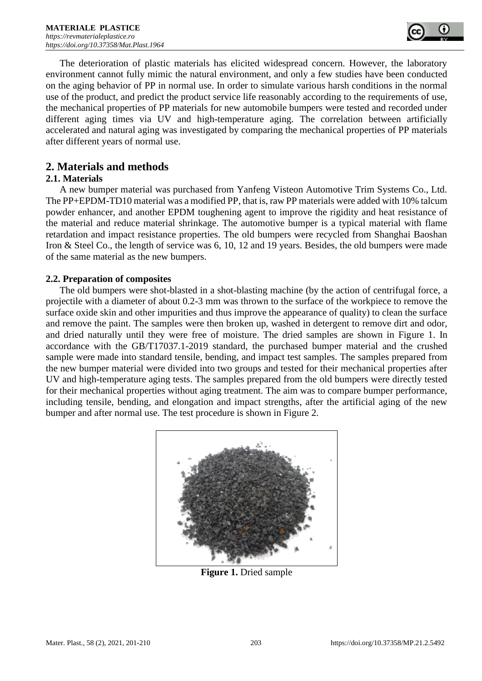

The deterioration of plastic materials has elicited widespread concern. However, the laboratory environment cannot fully mimic the natural environment, and only a few studies have been conducted on the aging behavior of PP in normal use. In order to simulate various harsh conditions in the normal use of the product, and predict the product service life reasonably according to the requirements of use, the mechanical properties of PP materials for new automobile bumpers were tested and recorded under different aging times via UV and high-temperature aging. The correlation between artificially accelerated and natural aging was investigated by comparing the mechanical properties of PP materials after different years of normal use.

# **2. Materials and methods**

## **2.1. Materials**

A new bumper material was purchased from Yanfeng Visteon Automotive Trim Systems Co., Ltd. The PP+EPDM-TD10 material was a modified PP, that is, raw PP materials were added with 10% talcum powder enhancer, and another EPDM toughening agent to improve the rigidity and heat resistance of the material and reduce material shrinkage. The automotive bumper is a typical material with flame retardation and impact resistance properties. The old bumpers were recycled from Shanghai Baoshan Iron & Steel Co., the length of service was 6, 10, 12 and 19 years. Besides, the old bumpers were made of the same material as the new bumpers.

## **2.2. Preparation of composites**

The old bumpers were shot-blasted in a shot-blasting machine (by the action of centrifugal force, a projectile with a diameter of about 0.2-3 mm was thrown to the surface of the workpiece to remove the surface oxide skin and other impurities and thus improve the appearance of quality) to clean the surface and remove the paint. The samples were then broken up, washed in detergent to remove dirt and odor, and dried naturally until they were free of moisture. The dried samples are shown in Figure 1. In accordance with the GB/T17037.1-2019 standard, the purchased bumper material and the crushed sample were made into standard tensile, bending, and impact test samples. The samples prepared from the new bumper material were divided into two groups and tested for their mechanical properties after UV and high-temperature aging tests. The samples prepared from the old bumpers were directly tested for their mechanical properties without aging treatment. The aim was to compare bumper performance, including tensile, bending, and elongation and impact strengths, after the artificial aging of the new bumper and after normal use. The test procedure is shown in Figure 2.



**Figure 1.** Dried sample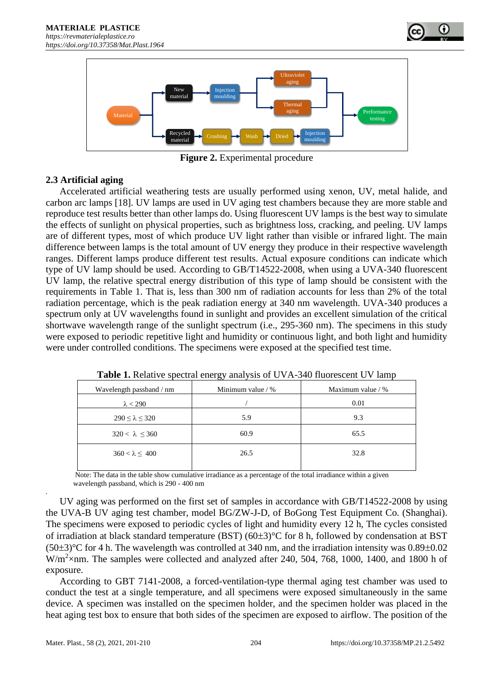



**Figure 2.** Experimental procedure

# **2.3 Artificial aging**

Accelerated artificial weathering tests are usually performed using xenon, UV, metal halide, and carbon arc lamps [18]. UV lamps are used in UV aging test chambers because they are more stable and reproduce test results better than other lamps do. Using fluorescent UV lamps is the best way to simulate the effects of sunlight on physical properties, such as brightness loss, cracking, and peeling. UV lamps are of different types, most of which produce UV light rather than visible or infrared light. The main difference between lamps is the total amount of UV energy they produce in their respective wavelength ranges. Different lamps produce different test results. Actual exposure conditions can indicate which type of UV lamp should be used. According to GB/T14522-2008, when using a UVA-340 fluorescent UV lamp, the relative spectral energy distribution of this type of lamp should be consistent with the requirements in Table 1. That is, less than 300 nm of radiation accounts for less than 2% of the total radiation percentage, which is the peak radiation energy at 340 nm wavelength. UVA-340 produces a spectrum only at UV wavelengths found in sunlight and provides an excellent simulation of the critical shortwave wavelength range of the sunlight spectrum (i.e., 295-360 nm). The specimens in this study were exposed to periodic repetitive light and humidity or continuous light, and both light and humidity were under controlled conditions. The specimens were exposed at the specified test time.

|                           | .                 |                   |  |  |
|---------------------------|-------------------|-------------------|--|--|
| Wavelength passband / nm  | Minimum value / % | Maximum value / % |  |  |
| $\lambda < 290$           |                   | 0.01              |  |  |
| $290 \le \lambda \le 320$ | 5.9               | 9.3               |  |  |
| $320 < \lambda \leq 360$  | 60.9              | 65.5              |  |  |
| $360 < \lambda \leq 400$  | 26.5              | 32.8              |  |  |

**Table 1.** Relative spectral energy analysis of UVA-340 fluorescent UV lamp

 Note: The data in the table show cumulative irradiance as a percentage of the total irradiance within a given wavelength passband, which is 290 - 400 nm

UV aging was performed on the first set of samples in accordance with GB/T14522-2008 by using the UVA-B UV aging test chamber, model BG/ZW-J-D, of BoGong Test Equipment Co. (Shanghai). The specimens were exposed to periodic cycles of light and humidity every 12 h, The cycles consisted of irradiation at black standard temperature (BST) ( $60\pm3$ )<sup>o</sup>C for 8 h, followed by condensation at BST  $(50\pm3)$ °C for 4 h. The wavelength was controlled at 340 nm, and the irradiation intensity was 0.89 $\pm$ 0.02  $W/m<sup>2</sup>$  xnm. The samples were collected and analyzed after 240, 504, 768, 1000, 1400, and 1800 h of exposure.

According to GBT 7141-2008, a forced-ventilation-type thermal aging test chamber was used to conduct the test at a single temperature, and all specimens were exposed simultaneously in the same device. A specimen was installed on the specimen holder, and the specimen holder was placed in the heat aging test box to ensure that both sides of the specimen are exposed to airflow. The position of the

*.*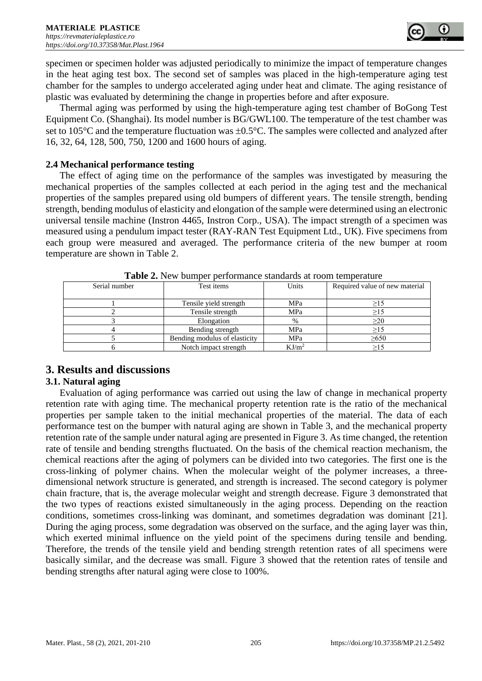specimen or specimen holder was adjusted periodically to minimize the impact of temperature changes in the heat aging test box. The second set of samples was placed in the high-temperature aging test chamber for the samples to undergo accelerated aging under heat and climate. The aging resistance of plastic was evaluated by determining the change in properties before and after exposure.

Thermal aging was performed by using the high-temperature aging test chamber of BoGong Test Equipment Co. (Shanghai). Its model number is BG/GWL100. The temperature of the test chamber was set to 105 $^{\circ}$ C and the temperature fluctuation was  $\pm 0.5^{\circ}$ C. The samples were collected and analyzed after 16, 32, 64, 128, 500, 750, 1200 and 1600 hours of aging.

### **2.4 Mechanical performance testing**

The effect of aging time on the performance of the samples was investigated by measuring the mechanical properties of the samples collected at each period in the aging test and the mechanical properties of the samples prepared using old bumpers of different years. The tensile strength, bending strength, bending modulus of elasticity and elongation of the sample were determined using an electronic universal tensile machine (Instron 4465, Instron Corp., USA). The impact strength of a specimen was measured using a pendulum impact tester (RAY-RAN Test Equipment Ltd., UK). Five specimens from each group were measured and averaged. The performance criteria of the new bumper at room temperature are shown in Table 2.

| <b>THOICE.</b> Then builiper performance buildings at foolif temperature |                               |                   |                                |  |  |  |  |
|--------------------------------------------------------------------------|-------------------------------|-------------------|--------------------------------|--|--|--|--|
| Serial number                                                            | Test items                    | Units             | Required value of new material |  |  |  |  |
|                                                                          |                               |                   |                                |  |  |  |  |
|                                                                          | Tensile yield strength        | MPa               | >15                            |  |  |  |  |
|                                                                          | Tensile strength              | MPa               | >15                            |  |  |  |  |
|                                                                          | Elongation                    | $\%$              | $\geq$ 20                      |  |  |  |  |
|                                                                          | Bending strength              | MPa               | $\geq$ 15                      |  |  |  |  |
|                                                                          | Bending modulus of elasticity | MPa               | $\geq 650$                     |  |  |  |  |
|                                                                          | Notch impact strength         | KJ/m <sup>2</sup> | $\geq$ 15                      |  |  |  |  |

**Table 2.** New bumper performance standards at room temperature

# **3. Results and discussions**

# **3.1. Natural aging**

Evaluation of aging performance was carried out using the law of change in mechanical property retention rate with aging time. The mechanical property retention rate is the ratio of the mechanical properties per sample taken to the initial mechanical properties of the material. The data of each performance test on the bumper with natural aging are shown in Table 3, and the mechanical property retention rate of the sample under natural aging are presented in Figure 3. As time changed, the retention rate of tensile and bending strengths fluctuated. On the basis of the chemical reaction mechanism, the chemical reactions after the aging of polymers can be divided into two categories. The first one is the cross-linking of polymer chains. When the molecular weight of the polymer increases, a threedimensional network structure is generated, and strength is increased. The second category is polymer chain fracture, that is, the average molecular weight and strength decrease. Figure 3 demonstrated that the two types of reactions existed simultaneously in the aging process. Depending on the reaction conditions, sometimes cross-linking was dominant, and sometimes degradation was dominant [21]. During the aging process, some degradation was observed on the surface, and the aging layer was thin, which exerted minimal influence on the yield point of the specimens during tensile and bending. Therefore, the trends of the tensile yield and bending strength retention rates of all specimens were basically similar, and the decrease was small. Figure 3 showed that the retention rates of tensile and bending strengths after natural aging were close to 100%.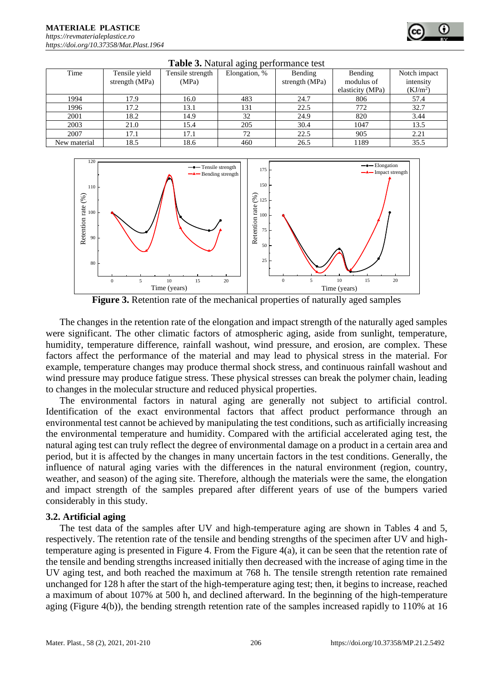#### **MATERIALE PLASTICE**  *[https://revmaterialeplastice.ro](https://revmaterialeplastice.ro/) https://doi.org/10.37358/Mat.Plast.1964*

| <b>raphy 3.</b> Fraudral aging performance test |                |                  |               |                |                  |                      |  |  |
|-------------------------------------------------|----------------|------------------|---------------|----------------|------------------|----------------------|--|--|
| Time                                            | Tensile yield  | Tensile strength | Elongation, % | Bending        | Bending          | Notch impact         |  |  |
|                                                 | strength (MPa) | (MPa)            |               | strength (MPa) | modulus of       | intensity            |  |  |
|                                                 |                |                  |               |                | elasticity (MPa) | (KJ/m <sup>2</sup> ) |  |  |
| 1994                                            | 17.9           | 16.0             | 483           | 24.7           | 806              | 57.4                 |  |  |
| 1996                                            | 17.2           | 13.1             | 131           | 22.5           | 772              | 32.7                 |  |  |
| 2001                                            | 18.2           | 14.9             | 32            | 24.9           | 820              | 3.44                 |  |  |
| 2003                                            | 21.0           | 15.4             | 205           | 30.4           | 1047             | 13.5                 |  |  |
| 2007                                            | 17.1           | 17.1             | 72            | 22.5           | 905              | 2.21                 |  |  |
| New material                                    | 18.5           | 18.6             | 460           | 26.5           | 1189             | 35.5                 |  |  |





**Figure 3.** Retention rate of the mechanical properties of naturally aged samples

The changes in the retention rate of the elongation and impact strength of the naturally aged samples were significant. The other climatic factors of atmospheric aging, aside from sunlight, temperature, humidity, temperature difference, rainfall washout, wind pressure, and erosion, are complex. These factors affect the performance of the material and may lead to physical stress in the material. For example, temperature changes may produce thermal shock stress, and continuous rainfall washout and wind pressure may produce fatigue stress. These physical stresses can break the polymer chain, leading to changes in the molecular structure and reduced physical properties.

The environmental factors in natural aging are generally not subject to artificial control. Identification of the exact environmental factors that affect product performance through an environmental test cannot be achieved by manipulating the test conditions, such as artificially increasing the environmental temperature and humidity. Compared with the artificial accelerated aging test, the natural aging test can truly reflect the degree of environmental damage on a product in a certain area and period, but it is affected by the changes in many uncertain factors in the test conditions. Generally, the influence of natural aging varies with the differences in the natural environment (region, country, weather, and season) of the aging site. Therefore, although the materials were the same, the elongation and impact strength of the samples prepared after different years of use of the bumpers varied considerably in this study.

#### **3.2. Artificial aging**

The test data of the samples after UV and high-temperature aging are shown in Tables 4 and 5, respectively. The retention rate of the tensile and bending strengths of the specimen after UV and hightemperature aging is presented in Figure 4. From the Figure 4(a), it can be seen that the retention rate of the tensile and bending strengths increased initially then decreased with the increase of aging time in the UV aging test, and both reached the maximum at 768 h. The tensile strength retention rate remained unchanged for 128 h after the start of the high-temperature aging test; then, it begins to increase, reached a maximum of about 107% at 500 h, and declined afterward. In the beginning of the high-temperature aging (Figure 4(b)), the bending strength retention rate of the samples increased rapidly to 110% at 16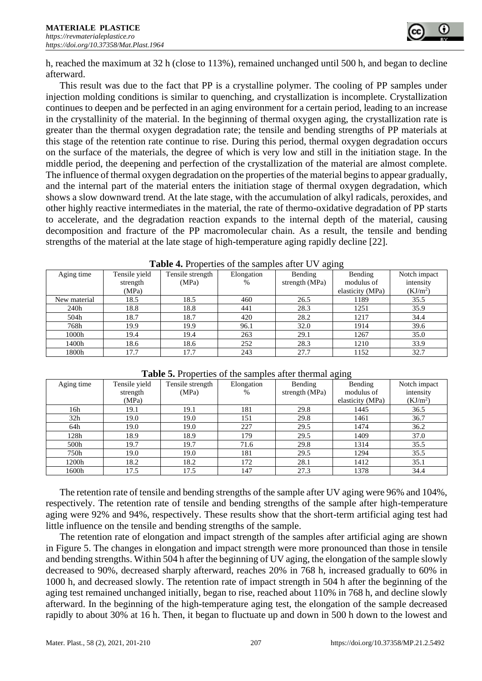

h, reached the maximum at 32 h (close to 113%), remained unchanged until 500 h, and began to decline afterward.

This result was due to the fact that PP is a crystalline polymer. The cooling of PP samples under injection molding conditions is similar to quenching, and crystallization is incomplete. Crystallization continues to deepen and be perfected in an aging environment for a certain period, leading to an increase in the crystallinity of the material. In the beginning of thermal oxygen aging, the crystallization rate is greater than the thermal oxygen degradation rate; the tensile and bending strengths of PP materials at this stage of the retention rate continue to rise. During this period, thermal oxygen degradation occurs on the surface of the materials, the degree of which is very low and still in the initiation stage. In the middle period, the deepening and perfection of the crystallization of the material are almost complete. The influence of thermal oxygen degradation on the properties of the material begins to appear gradually, and the internal part of the material enters the initiation stage of thermal oxygen degradation, which shows a slow downward trend. At the late stage, with the accumulation of alkyl radicals, peroxides, and other highly reactive intermediates in the material, the rate of thermo-oxidative degradation of PP starts to accelerate, and the degradation reaction expands to the internal depth of the material, causing decomposition and fracture of the PP macromolecular chain. As a result, the tensile and bending strengths of the material at the late stage of high-temperature aging rapidly decline [22].

| $-7$         |               |                  |            |                |                  |                      |  |
|--------------|---------------|------------------|------------|----------------|------------------|----------------------|--|
| Aging time   | Tensile yield | Tensile strength | Elongation | Bending        | Bending          | Notch impact         |  |
|              | strength      | (MPa)            | $\%$       | strength (MPa) | modulus of       | intensity            |  |
|              | (MPa)         |                  |            |                | elasticity (MPa) | (KJ/m <sup>2</sup> ) |  |
| New material | 18.5          | 18.5             | 460        | 26.5           | 1189             | 35.5                 |  |
| 240h         | 18.8          | 18.8             | 441        | 28.3           | 1251             | 35.9                 |  |
| 504h         | 18.7          | 18.7             | 420        | 28.2           | 1217             | 34.4                 |  |
| 768h         | 19.9          | 19.9             | 96.1       | 32.0           | 1914             | 39.6                 |  |
| 1000h        | 19.4          | 19.4             | 263        | 29.1           | 1267             | 35.0                 |  |
| 1400h        | 18.6          | 18.6             | 252        | 28.3           | 1210             | 33.9                 |  |
| 1800h        | 17.7          | 17.7             | 243        | 27.7           | 1152             | 32.7                 |  |

| Table 4. Properties of the samples after UV aging |  |  |  |  |  |  |  |  |  |
|---------------------------------------------------|--|--|--|--|--|--|--|--|--|
|---------------------------------------------------|--|--|--|--|--|--|--|--|--|

| Aging time      | Tensile yield | Tensile strength | Elongation | Bending        | Bending          | Notch impact         |
|-----------------|---------------|------------------|------------|----------------|------------------|----------------------|
|                 | strength      | (MPa)            | $\%$       | strength (MPa) | modulus of       | intensity            |
|                 | (MPa)         |                  |            |                | elasticity (MPa) | (KJ/m <sup>2</sup> ) |
| 16h             | 19.1          | 19.1             | 181        | 29.8           | 1445             | 36.5                 |
| 32 <sub>h</sub> | 19.0          | 19.0             | 151        | 29.8           | 1461             | 36.7                 |
| 64h             | 19.0          | 19.0             | 227        | 29.5           | 1474             | 36.2                 |
| 128h            | 18.9          | 18.9             | 179        | 29.5           | 1409             | 37.0                 |
| 500h            | 19.7          | 19.7             | 71.6       | 29.8           | 1314             | 35.5                 |
| 750h            | 19.0          | 19.0             | 181        | 29.5           | 1294             | 35.5                 |
| 1200h           | 18.2          | 18.2             | 172        | 28.1           | 1412             | 35.1                 |
| 1600h           | 17.5          | 17.5             | 147        | 27.3           | 1378             | 34.4                 |

#### **Table 5.** Properties of the samples after thermal aging

The retention rate of tensile and bending strengths of the sample after UV aging were 96% and 104%, respectively. The retention rate of tensile and bending strengths of the sample after high-temperature aging were 92% and 94%, respectively. These results show that the short-term artificial aging test had little influence on the tensile and bending strengths of the sample.

The retention rate of elongation and impact strength of the samples after artificial aging are shown in Figure 5. The changes in elongation and impact strength were more pronounced than those in tensile and bending strengths. Within 504 h after the beginning of UV aging, the elongation of the sample slowly decreased to 90%, decreased sharply afterward, reaches 20% in 768 h, increased gradually to 60% in 1000 h, and decreased slowly. The retention rate of impact strength in 504 h after the beginning of the aging test remained unchanged initially, began to rise, reached about 110% in 768 h, and decline slowly afterward. In the beginning of the high-temperature aging test, the elongation of the sample decreased rapidly to about 30% at 16 h. Then, it began to fluctuate up and down in 500 h down to the lowest and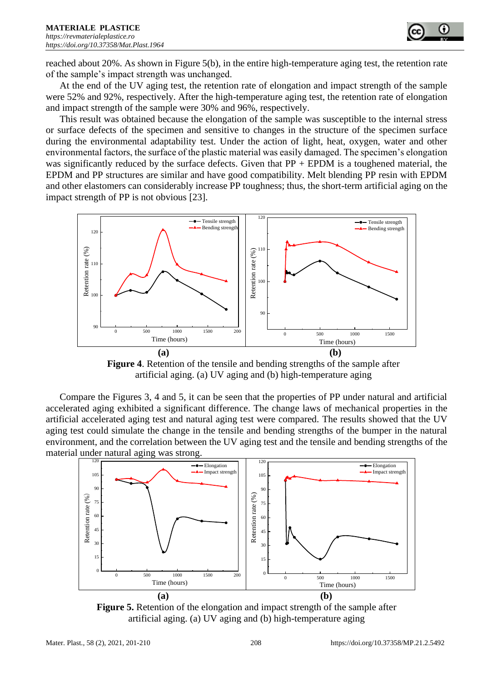

reached about 20%. As shown in Figure 5(b), in the entire high-temperature aging test, the retention rate of the sample's impact strength was unchanged.

At the end of the UV aging test, the retention rate of elongation and impact strength of the sample were 52% and 92%, respectively. After the high-temperature aging test, the retention rate of elongation and impact strength of the sample were 30% and 96%, respectively.

This result was obtained because the elongation of the sample was susceptible to the internal stress or surface defects of the specimen and sensitive to changes in the structure of the specimen surface during the environmental adaptability test. Under the action of light, heat, oxygen, water and other environmental factors, the surface of the plastic material was easily damaged. The specimen's elongation was significantly reduced by the surface defects. Given that  $PP + EPDM$  is a toughened material, the EPDM and PP structures are similar and have good compatibility. Melt blending PP resin with EPDM and other elastomers can considerably increase PP toughness; thus, the short-term artificial aging on the impact strength of PP is not obvious [23].



**Figure 4**. Retention of the tensile and bending strengths of the sample after artificial aging. (a) UV aging and (b) high-temperature aging

Compare the Figures 3, 4 and 5, it can be seen that the properties of PP under natural and artificial accelerated aging exhibited a significant difference. The change laws of mechanical properties in the artificial accelerated aging test and natural aging test were compared. The results showed that the UV aging test could simulate the change in the tensile and bending strengths of the bumper in the natural environment, and the correlation between the UV aging test and the tensile and bending strengths of the material under natural aging was strong.



**Figure 5.** Retention of the elongation and impact strength of the sample after artificial aging. (a) UV aging and (b) high-temperature aging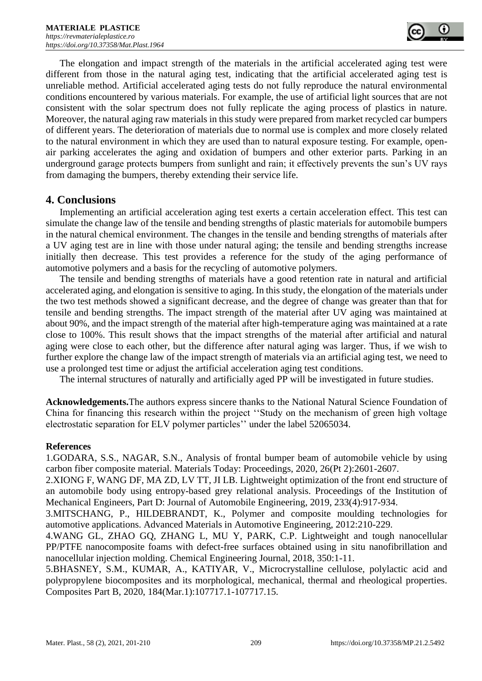The elongation and impact strength of the materials in the artificial accelerated aging test were different from those in the natural aging test, indicating that the artificial accelerated aging test is unreliable method. Artificial accelerated aging tests do not fully reproduce the natural environmental conditions encountered by various materials. For example, the use of artificial light sources that are not consistent with the solar spectrum does not fully replicate the aging process of plastics in nature. Moreover, the natural aging raw materials in this study were prepared from market recycled car bumpers of different years. The deterioration of materials due to normal use is complex and more closely related to the natural environment in which they are used than to natural exposure testing. For example, openair parking accelerates the aging and oxidation of bumpers and other exterior parts. Parking in an underground garage protects bumpers from sunlight and rain; it effectively prevents the sun's UV rays from damaging the bumpers, thereby extending their service life.

# **4. Conclusions**

Implementing an artificial acceleration aging test exerts a certain acceleration effect. This test can simulate the change law of the tensile and bending strengths of plastic materials for automobile bumpers in the natural chemical environment. The changes in the tensile and bending strengths of materials after a UV aging test are in line with those under natural aging; the tensile and bending strengths increase initially then decrease. This test provides a reference for the study of the aging performance of automotive polymers and a basis for the recycling of automotive polymers.

The tensile and bending strengths of materials have a good retention rate in natural and artificial accelerated aging, and elongation is sensitive to aging. In this study, the elongation of the materials under the two test methods showed a significant decrease, and the degree of change was greater than that for tensile and bending strengths. The impact strength of the material after UV aging was maintained at about 90%, and the impact strength of the material after high-temperature aging was maintained at a rate close to 100%. This result shows that the impact strengths of the material after artificial and natural aging were close to each other, but the difference after natural aging was larger. Thus, if we wish to further explore the change law of the impact strength of materials via an artificial aging test, we need to use a prolonged test time or adjust the artificial acceleration aging test conditions.

The internal structures of naturally and artificially aged PP will be investigated in future studies.

**Acknowledgements.**The authors express sincere thanks to the National Natural Science Foundation of China for financing this research within the project ''Study on the mechanism of green high voltage electrostatic separation for ELV polymer particles'' under the label 52065034.

#### **References**

1.GODARA, S.S., NAGAR, S.N., Analysis of frontal bumper beam of automobile vehicle by using carbon fiber composite material. Materials Today: Proceedings, 2020, 26(Pt 2):2601-2607.

2.XIONG F, WANG DF, MA ZD, LV TT, JI LB. Lightweight optimization of the front end structure of an automobile body using entropy-based grey relational analysis. Proceedings of the Institution of Mechanical Engineers, Part D: Journal of Automobile Engineering, 2019, 233(4):917-934.

3.MITSCHANG, P., HILDEBRANDT, K., Polymer and composite moulding technologies for automotive applications. Advanced Materials in Automotive Engineering, 2012:210-229.

4.WANG GL, ZHAO GQ, ZHANG L, MU Y, PARK, C.P. Lightweight and tough nanocellular PP/PTFE nanocomposite foams with defect-free surfaces obtained using in situ nanofibrillation and nanocellular injection molding. Chemical Engineering Journal, 2018, 350:1-11.

5.BHASNEY, S.M., KUMAR, A., KATIYAR, V., Microcrystalline cellulose, polylactic acid and polypropylene biocomposites and its morphological, mechanical, thermal and rheological properties. Composites Part B, 2020, 184(Mar.1):107717.1-107717.15.